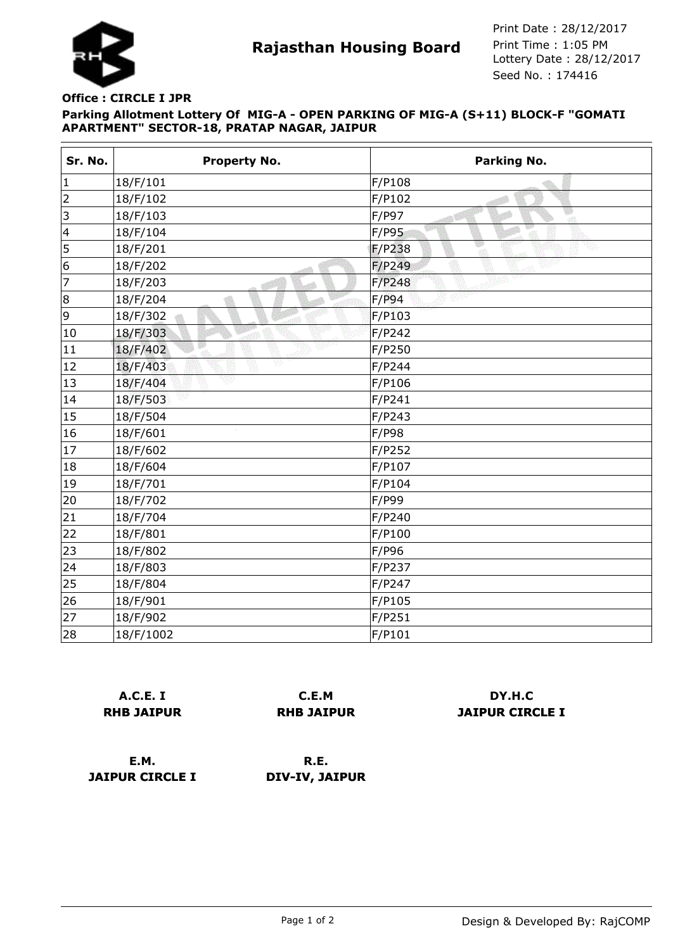

**Rajasthan Housing Board** Print Time : 1:05 PM<br>Lottery Date : 28/12/2017 Seed No. : 174416 Print Date : 28/12/2017 Print Time : 1:05 PM

## **Parking Allotment Lottery Of MIG-A - OPEN PARKING OF MIG-A (S+11) BLOCK-F "GOMATI APARTMENT" SECTOR-18, PRATAP NAGAR, JAIPUR Office : CIRCLE I JPR**

| Sr. No.        | <b>Property No.</b> | <b>Parking No.</b> |
|----------------|---------------------|--------------------|
| 1              | 18/F/101            | F/P108             |
| $\overline{2}$ | 18/F/102            | F/P102             |
| $\vert$ 3      | 18/F/103            | F/P97<br>«Л        |
| 4              | 18/F/104            | F/P95              |
| 5              | 18/F/201            | F/P238             |
| 6              | 18/F/202            | F/P249             |
| 7              | 18/F/203            | F/P248             |
| 8              | 18/F/204            | F/P94              |
| 9              | 18/F/302            | F/P103             |
| 10             | 18/F/303            | F/P242             |
| 11             | 63N<br>18/F/402     | F/P250             |
| 12             | v<br>18/F/403       | F/P244             |
| 13             | 18/F/404            | F/P106             |
| 14             | 18/F/503            | F/P241             |
| 15             | 18/F/504            | F/P243             |
| 16             | 18/F/601            | F/P98              |
| 17             | 18/F/602            | F/P252             |
| 18             | 18/F/604            | F/P107             |
| 19             | 18/F/701            | F/P104             |
| 20             | 18/F/702            | F/P99              |
| 21             | 18/F/704            | F/P240             |
| 22             | 18/F/801            | F/P100             |
| 23             | 18/F/802            | F/P96              |
| 24             | 18/F/803            | F/P237             |
| 25             | 18/F/804            | F/P247             |
| 26             | 18/F/901            | F/P105             |
| 27             | 18/F/902            | F/P251             |
| 28             | 18/F/1002           | F/P101             |

|                   | A.C.E. I |  |
|-------------------|----------|--|
| <b>RHB JAIPUR</b> |          |  |

**C.E.M RHB JAIPUR**

**DY.H.C JAIPUR CIRCLE I**

**E.M. JAIPUR CIRCLE I**

**R.E. DIV-IV, JAIPUR**